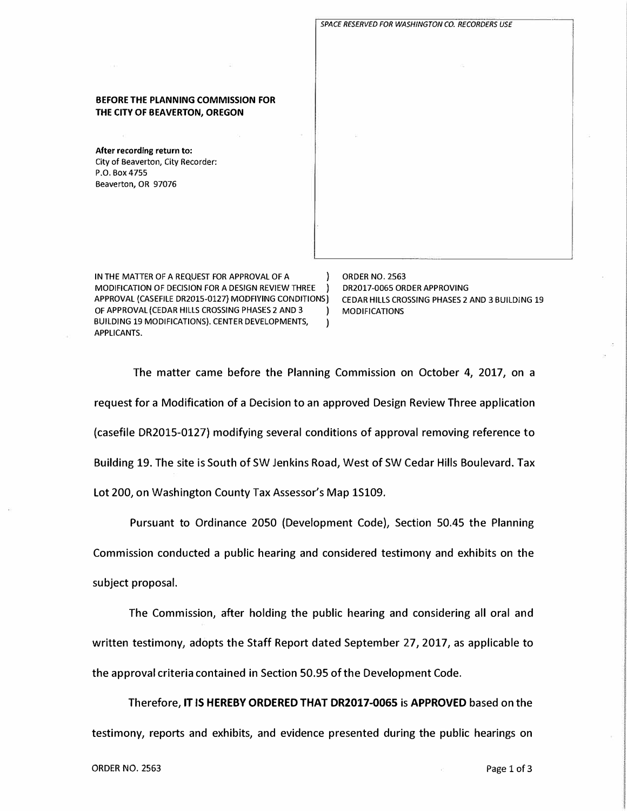

IN THE MATTER OF A REQUEST FOR APPROVAL OF A  $\vert$  ORDER NO. 2563<br>MODIFICATION OF DECISION FOR A DESIGN REVIEW THREE ) DR2017-0065 ORDER APPROVING MODIFICATION OF DECISION FOR A DESIGN REVIEW THREE ) DR2017-0065 ORDER APPROVING<br>APPROVAL (CASEFILE DR2015-0127) MODFIYING CONDITIONS) CEDAR HILLS CROSSING PHASES 2 AND 3 BUILDING 19 APPROVAL (CASEFILE DR2015-0127) MODFIYING CONDITIONS) OF APPROVAL (CEDAR HILLS CROSSING PHASES 2 AND 3 ) MODIFICATIONS BUILDING 19 MODIFICATIONS). CENTER DEVELOPMENTS, APPLICANTS.

**THE CITY OF BEAVERTON, OREGON** 

**After recording return to:**  City of Beaverton, City Recorder:

P.O. Box 4755 Beaverton, OR 97076

The matter came before the Planning Commission on October 4, 2017, on a request for a Modification of a Decision to an approved Design Review Three application (casefile DR2015-0127) modifying several conditions of approval removing reference to Building 19. The site is South of SW Jenkins Road, West of SW Cedar Hills Boulevard. Tax Lot 200, on Washington County Tax Assessor's Map 1S109.

Pursuant to Ordinance 2050 (Development Code), Section 50.45 the Planning Commission conducted a public hearing and considered testimony and exhibits on the subject proposal.

The Commission, after holding the public hearing and considering all oral and written testimony, adopts the Staff Report dated September 27, 2017, as applicable to the approval criteria contained in Section 50.95 of the Development Code.

Therefore, **IT IS HEREBY ORDERED THAT DR2017-0065** is **APPROVED** based on the testimony, reports and exhibits, and evidence presented during the public hearings on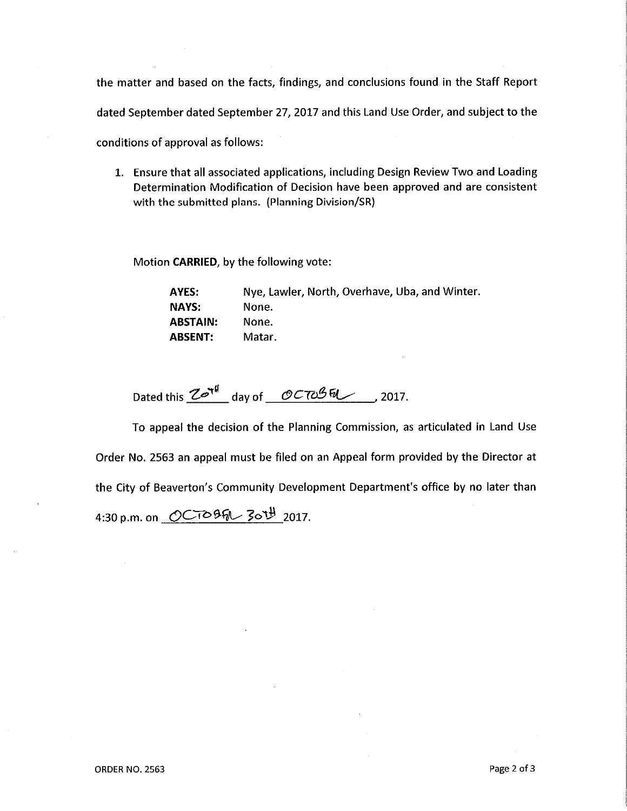the matter and based on the facts, findings, and conclusions found in the Staff Report dated September dated September 27, 2017 and this Land Use Order, and subject to the conditions of approval as follows:

1. Ensure that all associated applications, including Design Review Two and Loading Determination Modification of Decision have been approved and are consistent with the submitted plans. (Planning Division/SR)

Motion CARRIED, by the following vote:

| AYES:          | Nye, Lawler, North, Overhave, Uba, and Winter. |
|----------------|------------------------------------------------|
| NAYS:          | None.                                          |
| ABSTAIN:       | None.                                          |
| <b>ABSENT:</b> | Matar.                                         |

Dated this  $2e^{\pi f}$  day of  $0C\pi 26\pi$  2017.

To appeal the decision of the Planning Commission, as articulated in Land Use Order No. 2563 an appeal must be filed on an Appeal form provided by the Director at the City of Beaverton's Community Development Department's office by no later than 4:30 p.m. on OCTOBER 30TH 2017.